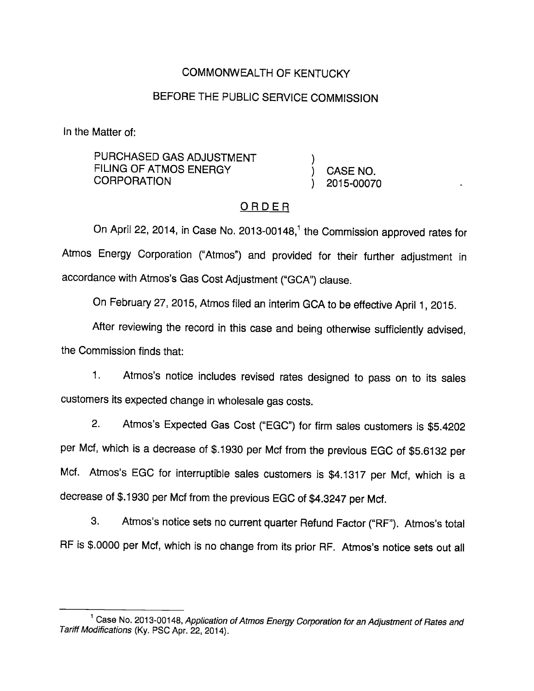# COMMONWEALTH OF KENTUCKY

# BEFORE THE PUBLIC SERVICE COMMISSION

In the Matter of:

PURCHASED GAS ADJUSTMENT ) FILING OF ATMOS ENERGY (CASE NO. CORPORATION 
and  $(2015-00070)$ 

### ORDER

On April 22, 2014, in Case No. 2013-00148,<sup>1</sup> the Commission approved rates for Atmos Energy Corporation ("Atmos") and provided for their further adjustment in accordance with Atmos's Gas CostAdjustment ("GCA") clause.

On February 27, 2015, Atmos filed an interim GCA to be effective April 1, 2015.

After reviewing the record in this case and being otherwise sufficiently advised, the Commission finds that:

1. Atmos's notice includes revised rates designed to pass on to its sales customers its expected change in wholesale gas costs.

2. Atmos's Expected Gas Cost ("EGC") for firm sales customers is \$5.4202 per Mcf, which is a decrease of \$.1930 per Mcf from the previous EGC of \$5.6132 per Mcf. Atmos's EGC for interruptibie sales customers is \$4.1317 per Mcf, which is a decrease of \$.1930 per Mcf from the previous EGC of \$4.3247 per Mcf.

3. Atmos's notice sets no current quarter Refund Factor ("RF"). Atmos's total RF is \$.0000 per Mcf, which is no change from its prior RF. Atmos's notice sets out all

<sup>&</sup>lt;sup>1</sup> Case No. 2013-00148, Application of Atmos Energy Corporation for an Adjustment of Rates and Tariff Modifications (Ky. PSC Apr. 22, 2014).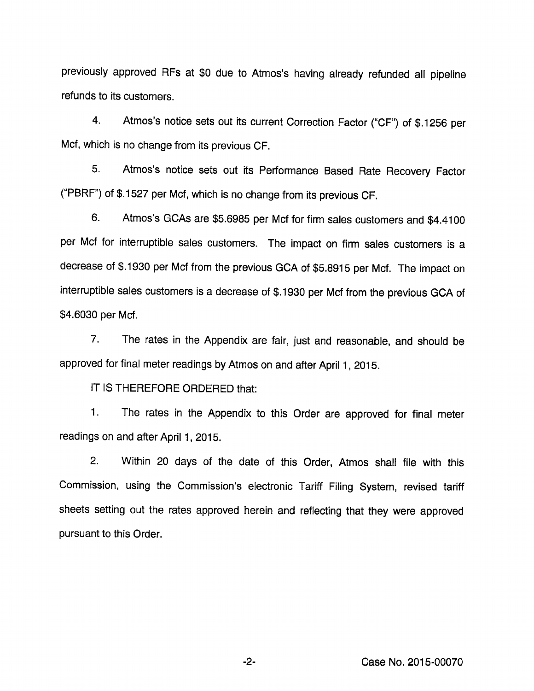previously approved RFs at \$0 due to Atmos's having already refunded all pipeline refunds to its customers.

4. Atmos's notice sets out its current Correction Factor ("OF") of \$.1256 per Mcf, which is no change from its previous OF.

5. Atmos's notice sets out its Performance Based Rate Recovery Factor ("PBRF") of \$.1527 per Mcf, which is no change from its previous CF.

6. Atmos's GOAs are \$5.6985 per Mcf for firm sales customers and \$4.4100 per Mcf for interruptible sales customers. The impact on firm sales customers is a decrease of \$.1930 per Mcf from the previous GCA of \$5.8915 per Mcf. The impact on interruptible sales customers is a decrease of \$.1930 per Mcf from the previous OCA of \$4.6030 per Mcf.

7. The rates in the Appendix are fair, just and reasonable, and should be approved for final meter readings by Atmos on and after April 1, 2015.

IT IS THEREFORE ORDERED that:

1. The rates in the Appendix to this Order are approved for final meter readings on and after April 1, 2015.

2. Within 20 days of the date of this Order, Atmos shall file with this Commission, using the Commission's electronic Tariff Filing System, revised tariff sheets setting out the rates approved herein and reflecting that they were approved pursuant to this Order.

Case No. 2015-00070

 $-2-$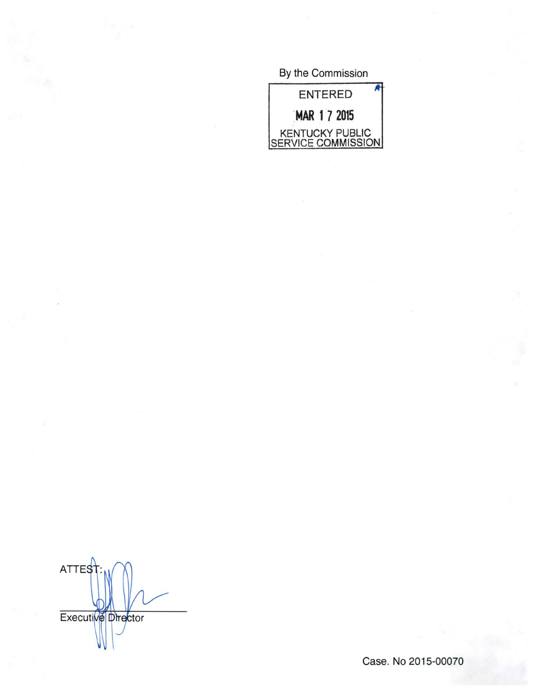By the Commission



ATTES Executive Director

Case. No 2015-00070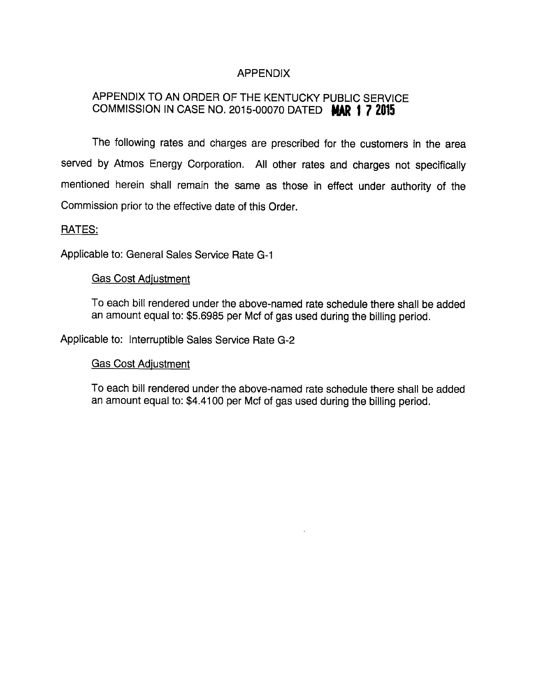## APPENDIX

# APPENDIX TO AN ORDER OF THE KENTUCKY PUBLIC SERVICE COMMISSION IN CASE NO. 2015-00070 DATED MAR 1 7 2015

The following rates and charges are prescribed for the customers in the area served by Atmos Energy Corporation. All other rates and charges not specifically mentioned herein shall remain the same as those in effect under authority of the Commission prior to the effective date of this Order.

#### RATES:

Applicable to: General Sales Service Rate G-1

#### Gas Cost Adjustment

To each bill rendered under the above-named rate schedule there shall be added an amount equal to: \$5.6985 per Mcf of gas used during the billing period.

Applicable to: Interruptible Sales Service Rate G-2

#### Gas Cost Adiustment

To each bill rendered under the above-named rate schedule there shall be added an amount equal to: \$4.4100 per Mcf of gas used during the billing period.